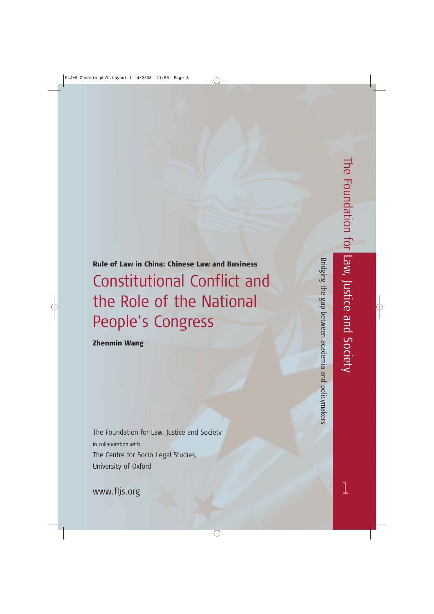Rule of Law in China: Chinese Law and Business Constitutional Conflict and the Role of the National People's Congress

# Zhenmin Wang

The Foundation for Law, Justice and Society in collaboration with The Centre for Socio-Legal Studies, University of Oxford

www.fljs.org

Bridging the gap between academia and policymakers Bridging the gap between academia and policymakers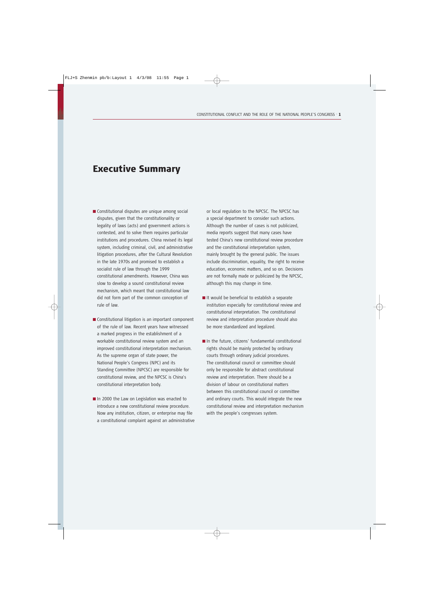# Executive Summary

- Constitutional disputes are unique among social disputes, given that the constitutionality or legality of laws (acts) and government actions is contested, and to solve them requires particular institutions and procedures. China revised its legal system, including criminal, civil, and administrative litigation procedures, after the Cultural Revolution in the late 1970s and promised to establish a socialist rule of law through the 1999 constitutional amendments. However, China was slow to develop a sound constitutional review mechanism, which meant that constitutional law did not form part of the common conception of rule of law.
- Constitutional litigation is an important component of the rule of law. Recent years have witnessed a marked progress in the establishment of a workable constitutional review system and an improved constitutional interpretation mechanism. As the supreme organ of state power, the National People's Congress (NPC) and its Standing Committee (NPCSC) are responsible for constitutional review, and the NPCSC is China's constitutional interpretation body.
- In 2000 the Law on Legislation was enacted to introduce a new constitutional review procedure. Now any institution, citizen, or enterprise may file a constitutional complaint against an administrative

or local regulation to the NPCSC. The NPCSC has a special department to consider such actions. Although the number of cases is not publicized, media reports suggest that many cases have tested China's new constitutional review procedure and the constitutional interpretation system, mainly brought by the general public. The issues include discrimination, equality, the right to receive education, economic matters, and so on. Decisions are not formally made or publicized by the NPCSC, although this may change in time.

- It would be beneficial to establish a separate institution especially for constitutional review and constitutional interpretation. The constitutional review and interpretation procedure should also be more standardized and legalized.
- In the future, citizens' fundamental constitutional rights should be mainly protected by ordinary courts through ordinary judicial procedures. The constitutional council or committee should only be responsible for abstract constitutional review and interpretation. There should be a division of labour on constitutional matters between this constitutional council or committee and ordinary courts. This would integrate the new constitutional review and interpretation mechanism with the people's congresses system.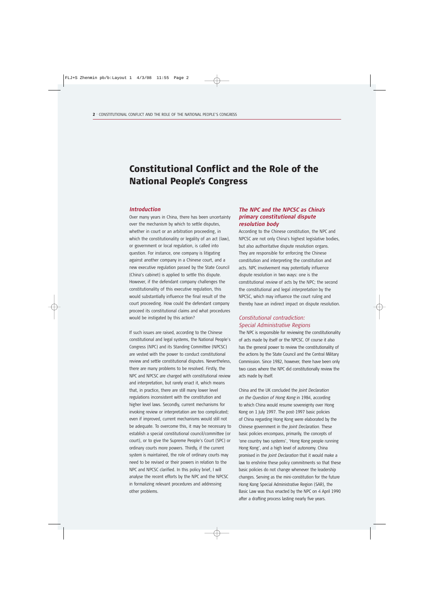# Constitutional Conflict and the Role of the National People's Congress

#### *Introduction*

Over many years in China, there has been uncertainty over the mechanism by which to settle disputes, whether in court or an arbitration proceeding, in which the constitutionality or legality of an act (law), or government or local regulation, is called into question. For instance, one company is litigating against another company in a Chinese court, and a new executive regulation passed by the State Council (China's cabinet) is applied to settle this dispute. However, if the defendant company challenges the constitutionality of this executive regulation, this would substantially influence the final result of the court proceeding. How could the defendant company proceed its constitutional claims and what procedures would be instigated by this action?

If such issues are raised, according to the Chinese constitutional and legal systems, the National People's Congress (NPC) and its Standing Committee (NPCSC) are vested with the power to conduct constitutional review and settle constitutional disputes. Nevertheless, there are many problems to be resolved. Firstly, the NPC and NPCSC are charged with constitutional review and interpretation, but rarely enact it, which means that, in practice, there are still many lower level regulations inconsistent with the constitution and higher level laws. Secondly, current mechanisms for invoking review or interpretation are too complicated; even if improved, current mechanisms would still not be adequate. To overcome this, it may be necessary to establish a special constitutional council/committee (or court), or to give the Supreme People's Court (SPC) or ordinary courts more powers. Thirdly, if the current system is maintained, the role of ordinary courts may need to be revised or their powers in relation to the NPC and NPCSC clarified. In this policy brief, I will analyse the recent efforts by the NPC and the NPCSC in formalizing relevant procedures and addressing other problems.

# *The NPC and the NPCSC as China's primary constitutional dispute resolution body*

According to the Chinese constitution, the NPC and NPCSC are not only China's highest legislative bodies, but also authoritative dispute resolution organs. They are responsible for enforcing the Chinese constitution and interpreting the constitution and acts. NPC involvement may potentially influence dispute resolution in two ways: one is the constitutional *review* of acts by the NPC; the second the constitutional and legal *interpretation* by the NPCSC, which may influence the court ruling and thereby have an indirect impact on dispute resolution.

# *Constitutional contradiction: Special Administrative Regions*

The NPC is responsible for reviewing the constitutionality of acts made by itself or the NPCSC. Of course it also has the general power to review the constitutionality of the actions by the State Council and the Central Military Commission. Since 1982, however, there have been only two cases where the NPC did constitutionally review the acts made by itself.

China and the UK concluded the *Joint Declaration on the Question of Hong Kong* in 1984, according to which China would resume sovereignty over Hong Kong on 1 July 1997. The post-1997 basic policies of China regarding Hong Kong were elaborated by the Chinese government in the *Joint Declaration*. These basic policies encompass, primarily, the concepts of 'one country two systems', 'Hong Kong people running Hong Kong', and a high level of autonomy. China promised in the *Joint Declaration* that it would make a law to enshrine these policy commitments so that these basic policies do not change whenever the leadership changes. Serving as the mini-constitution for the future Hong Kong Special Administrative Region (SAR), the Basic Law was thus enacted by the NPC on 4 April 1990 after a drafting process lasting nearly five years.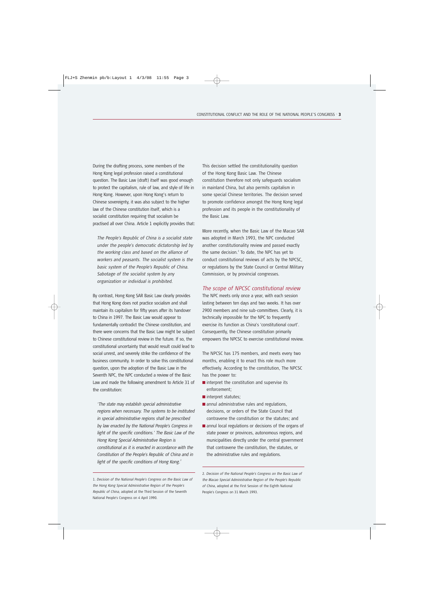During the drafting process, some members of the Hong Kong legal profession raised a constitutional question. The Basic Law (draft) itself was good enough to protect the capitalism, rule of law, and style of life in Hong Kong. However, upon Hong Kong's return to Chinese sovereignty, it was also subject to the higher law of the Chinese constitution itself, which is a socialist constitution requiring that socialism be practised all over China. Article 1 explicitly provides that:

*The People's Republic of China is a socialist state under the people's democratic dictatorship led by the working class and based on the alliance of workers and peasants. The socialist system is the basic system of the People's Republic of China. Sabotage of the socialist system by any organization or individual is prohibited.*

By contrast, Hong Kong SAR Basic Law clearly provides that Hong Kong does not practice socialism and shall maintain its capitalism for fifty years after its handover to China in 1997. The Basic Law would appear to fundamentally contradict the Chinese constitution, and there were concerns that the Basic Law might be subject to Chinese constitutional review in the future. If so, the constitutional uncertainty that would result could lead to social unrest, and severely strike the confidence of the business community. In order to solve this constitutional question, upon the adoption of the Basic Law in the Seventh NPC, the NPC conducted a review of the Basic Law and made the following amendment to Article 31 of the constitution:

*'The state may establish special administrative regions when necessary. The systems to be instituted in special administrative regions shall be prescribed by law enacted by the National People's Congress in light of the specific conditions.' The Basic Law of the Hong Kong Special Administrative Region is constitutional as it is enacted in accordance with the Constitution of the People's Republic of China and in* light of the specific conditions of Hong Kong.<sup>1</sup>

This decision settled the constitutionality question of the Hong Kong Basic Law. The Chinese constitution therefore not only safeguards socialism in mainland China, but also permits capitalism in some special Chinese territories. The decision served to promote confidence amongst the Hong Kong legal profession and its people in the constitutionality of the Basic Law.

More recently, when the Basic Law of the Macao SAR was adopted in March 1993, the NPC conducted another constitutionality review and passed exactly the same decision.<sup>2</sup> To date, the NPC has yet to conduct constitutional reviews of acts by the NPCSC, or regulations by the State Council or Central Military Commission, or by provincial congresses.

### *The scope of NPCSC constitutional review*

The NPC meets only once a year, with each session lasting between ten days and two weeks. It has over 2900 members and nine sub-committees. Clearly, it is technically impossible for the NPC to frequently exercise its function as China's 'constitutional court'. Consequently, the Chinese constitution primarily empowers the NPCSC to exercise constitutional review.

The NPCSC has 175 members, and meets every two months, enabling it to enact this role much more effectively. According to the constitution, The NPCSC has the power to:

- interpret the constitution and supervise its enforcement;
- interpret statutes;
- annul administrative rules and regulations, decisions, or orders of the State Council that contravene the constitution or the statutes; and
- annul local regulations or decisions of the organs of state power or provinces, autonomous regions, and municipalities directly under the central government that contravene the constitution, the statutes, or the administrative rules and regulations.

2. *Decision of the National People's Congress on the Basic Law of the Macao Special Administrative Region of the People's Republic of China*, adopted at the First Session of the Eighth National People's Congress on 31 March 1993.

<sup>1.</sup> *Decision of the National People's Congress on the Basic Law of the Hong Kong Special Administrative Region of the People's Republic of China*, adopted at the Third Session of the Seventh National People's Congress on 4 April 1990.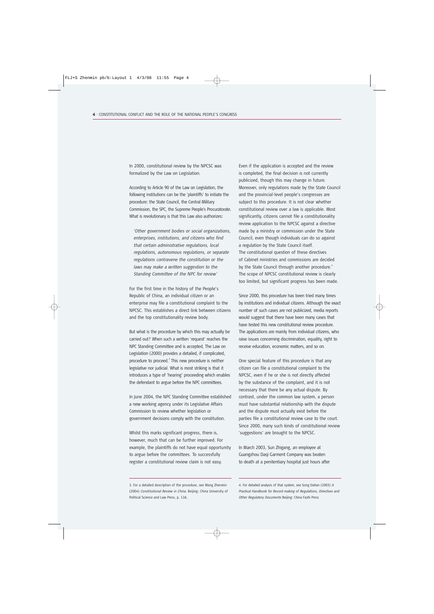In 2000, constitutional review by the NPCSC was formalized by the Law on Legislation.

According to Article 90 of the Law on Legislation, the following institutions can be the 'plaintiffs' to initiate the procedure: the State Council, the Central Military Commission, the SPC, the Supreme People's Procuratorate. What is revolutionary is that this Law also authorizes:

*'Other government bodies or social organizations, enterprises, institutions, and citizens who find that certain administrative regulations, local regulations, autonomous regulations, or separate regulations contravene the constitution or the laws may make a written suggestion to the Standing Committee of the NPC for review'*

For the first time in the history of the People's Republic of China, an individual citizen or an enterprise may file a constitutional complaint to the NPCSC. This establishes a direct link between citizens and the top constitutionality review body.

But what is the procedure by which this may actually be carried out? When such a written 'request' reaches the NPC Standing Committee and is accepted, The Law on Legislation (2000) provides a detailed, if complicated, procedure to proceed.<sup>3</sup> This new procedure is neither legislative nor judicial. What is most striking is that it introduces a type of 'hearing' proceeding which enables the defendant to argue before the NPC committees.

In June 2004, the NPC Standing Committee established a new working agency under its Legislative Affairs Commission to review whether legislation or government decisions comply with the constitution.

Whilst this marks significant progress, there is, however, much that can be further improved. For example, the plaintiffs do not have equal opportunity to argue before the committees. To successfully register a constitutional review claim is not easy.

Even if the application is accepted and the review is completed, the final decision is not currently publicized, though this may change in future. Moreover, only regulations made by the State Council and the provincial-level people's congresses are subject to this procedure. It is not clear whether constitutional review over a law is applicable. Most significantly, citizens cannot file a constitutionality review application to the NPCSC against a directive made by a ministry or commission under the State Council, even though individuals can do so against a regulation by the State Council itself. The constitutional question of these directives of Cabinet ministries and commissions are decided by the State Council through another procedure.<sup>4</sup> The scope of NPCSC constitutional review is clearly too limited, but significant progress has been made.

Since 2000, this procedure has been tried many times by institutions and individual citizens. Although the exact number of such cases are not publicized, media reports would suggest that there have been many cases that have tested this new constitutional review procedure. The applications are mainly from individual citizens, who raise issues concerning discrimination, equality, right to receive education, economic matters, and so on.

One special feature of this procedure is that any citizen can file a constitutional complaint to the NPCSC, even if he or she is not directly affected by the substance of the complaint, and it is not necessary that there be any actual dispute. By contrast, under the common law system, a person must have substantial relationship with the dispute and the dispute must actually exist before the parties file a constitutional review case to the court. Since 2000, many such kinds of constitutional review 'suggestions' are brought to the NPCSC.

In March 2003, Sun Zhigang, an employee at Guangzhou Daqi Garment Company was beaten to death at a penitentiary hospital just hours after

<sup>3.</sup> For a detailed description of the procedure, see Wang Zhenmin (2004) *Constitutional Review in China*. Beijing: China University of Political Science and Law Press, p. 116.

<sup>4.</sup> For detailed analysis of that system, see Song Dahan (2003) *A Practical Handbook for Record-making of Regulations, Directives and Other Regulatory Documents* Beijing: China Fazhi Press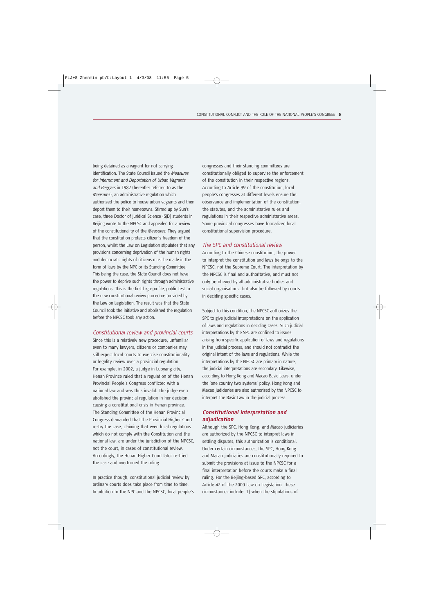being detained as a vagrant for not carrying identification. The State Council issued the *Measures for Internment and Deportation of Urban Vagrants and Beggars* in 1982 (hereafter referred to as the *Measures*), an administrative regulation which authorized the police to house urban vagrants and then deport them to their hometowns. Stirred up by Sun's case, three Doctor of Juridical Science (SJD) students in Beijing wrote to the NPCSC and appealed for a review of the constitutionality of the *Measures*. They argued that the constitution protects citizen's freedom of the person, whilst the Law on Legislation stipulates that any provisions concerning deprivation of the human rights and democratic rights of citizens must be made in the form of laws by the NPC or its Standing Committee. This being the case, the State Council does not have the power to deprive such rights through administrative regulations. This is the first high-profile, public test to the new constitutional review procedure provided by the Law on Legislation. The result was that the State Council took the initiative and abolished the regulation before the NPCSC took any action.

#### *Constitutional review and provincial courts*

Since this is a relatively new procedure, unfamiliar even to many lawyers, citizens or companies may still expect local courts to exercise constitutionality or legality review over a provincial regulation. For example, in 2002, a judge in Luoyang city, Henan Province ruled that a regulation of the Henan Provincial People's Congress conflicted with a national law and was thus invalid. The judge even abolished the provincial regulation in her decision, causing a constitutional crisis in Henan province. The Standing Committee of the Henan Provincial Congress demanded that the Provincial Higher Court re-try the case, claiming that even local regulations which do not comply with the Constitution and the national law, are under the jurisdiction of the NPCSC, not the court, in cases of constitutional review. Accordingly, the Henan Higher Court later re-tried the case and overturned the ruling.

In practice though, constitutional judicial review by ordinary courts does take place from time to time. In addition to the NPC and the NPCSC, local people's congresses and their standing committees are constitutionally obliged to supervise the enforcement of the constitution in their respective regions. According to Article 99 of the constitution, local people's congresses at different levels ensure the observance and implementation of the constitution, the statutes, and the administrative rules and regulations in their respective administrative areas. Some provincial congresses have formalized local constitutional supervision procedure.

#### *The SPC and constitutional review*

According to the Chinese constitution, the power to interpret the constitution and laws belongs to the NPCSC, not the Supreme Court. The interpretation by the NPCSC is final and authoritative, and must not only be obeyed by all administrative bodies and social organisations, but also be followed by courts in deciding specific cases.

Subject to this condition, the NPCSC authorizes the SPC to give judicial interpretations on the application of laws and regulations in deciding cases. Such judicial interpretations by the SPC are confined to issues arising from specific application of laws and regulations in the judicial process, and should not contradict the original intent of the laws and regulations. While the interpretations by the NPCSC are primary in nature, the judicial interpretations are secondary. Likewise, according to Hong Kong and Macao Basic Laws, under the 'one country two systems' policy, Hong Kong and Macao judiciaries are also authorized by the NPCSC to interpret the Basic Law in the judicial process.

# *Constitutional interpretation and adjudication*

Although the SPC, Hong Kong, and Macao judiciaries are authorized by the NPCSC to interpret laws in settling disputes, this authorization is conditional. Under certain circumstances, the SPC, Hong Kong and Macao judiciaries are constitutionally required to submit the provisions at issue to the NPCSC for a final interpretation before the courts make a final ruling. For the Beijing-based SPC, according to Article 42 of the 2000 Law on Legislation, these circumstances include: 1) when the stipulations of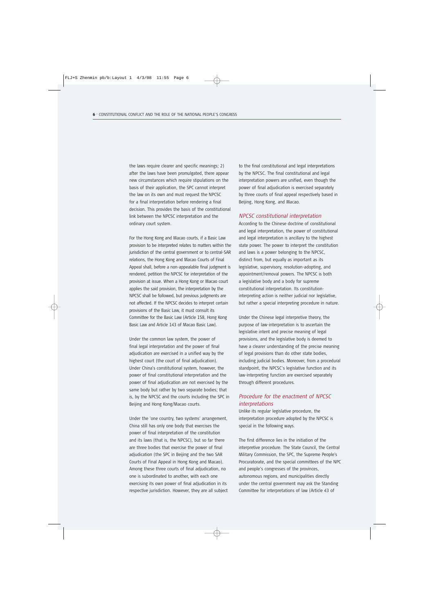the laws require clearer and specific meanings; 2) after the laws have been promulgated, there appear new circumstances which require stipulations on the basis of their application, the SPC cannot interpret the law on its own and must request the NPCSC for a final interpretation before rendering a final decision. This provides the basis of the constitutional link between the NPCSC interpretation and the ordinary court system.

For the Hong Kong and Macao courts, if a Basic Law provision to be interpreted relates to matters within the jurisdiction of the central government or to central-SAR relations, the Hong Kong and Macao Courts of Final Appeal shall, before a non-appealable final judgment is rendered, petition the NPCSC for interpretation of the provision at issue. When a Hong Kong or Macao court applies the said provision, the interpretation by the NPCSC shall be followed, but previous judgments are not affected. If the NPCSC decides to interpret certain provisions of the Basic Law, it must consult its Committee for the Basic Law (Article 158, Hong Kong Basic Law and Article 143 of Macao Basic Law).

Under the common law system, the power of final legal interpretation and the power of final adjudication are exercised in a unified way by the highest court (the court of final adjudication). Under China's constitutional system, however, the power of final constitutional interpretation and the power of final adjudication are not exercised by the same body but rather by two separate bodies; that is, by the NPCSC and the courts including the SPC in Beijing and Hong Kong/Macao courts.

Under the 'one country, two systems' arrangement, China still has only one body that exercises the power of final interpretation of the constitution and its laws (that is, the NPCSC), but so far there are three bodies that exercise the power of final adjudication (the SPC in Beijing and the two SAR Courts of Final Appeal in Hong Kong and Macao). Among these three courts of final adjudication, no one is subordinated to another, with each one exercising its own power of final adjudication in its respective jurisdiction. However, they are all subject to the final constitutional and legal interpretations by the NPCSC. The final constitutional and legal interpretation powers are unified, even though the power of final adjudication is exercised separately by three courts of final appeal respectively based in Beijing, Hong Kong, and Macao.

#### *NPCSC constitutional interpretation*

According to the Chinese doctrine of constitutional and legal interpretation, the power of constitutional and legal interpretation is ancillary to the highest state power. The power to interpret the constitution and laws is a power belonging to the NPCSC, distinct from, but equally as important as its legislative, supervisory, resolution-adopting, and appointment/removal powers. The NPCSC is both a legislative body and a body for supreme constitutional interpretation. Its constitutioninterpreting action is neither judicial nor legislative, but rather a special interpreting procedure in nature.

Under the Chinese legal interpretive theory, the purpose of law-interpretation is to ascertain the legislative intent and precise meaning of legal provisions, and the legislative body is deemed to have a clearer understanding of the precise meaning of legal provisions than do other state bodies, including judicial bodies. Moreover, from a procedural standpoint, the NPCSC's legislative function and its law-interpreting function are exercised separately through different procedures.

# *Procedure for the enactment of NPCSC interpretations*

Unlike its regular legislative procedure, the interpretation procedure adopted by the NPCSC is special in the following ways.

The first difference lies in the initiation of the interpretive procedure. The State Council, the Central Military Commission, the SPC, the Supreme People's Procuratorate, and the special committees of the NPC and people's congresses of the provinces, autonomous regions, and municipalities directly under the central government may ask the Standing Committee for interpretations of law (Article 43 of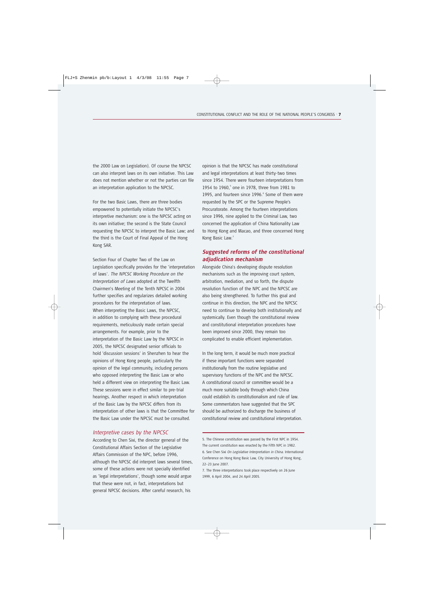the 2000 Law on Legislation). Of course the NPCSC can also interpret laws on its own initiative. This Law does not mention whether or not the parties can file an interpretation application to the NPCSC.

For the two Basic Laws, there are three bodies empowered to potentially initiate the NPCSC's interpretive mechanism: one is the NPCSC acting on its own initiative; the second is the State Council requesting the NPCSC to interpret the Basic Law; and the third is the Court of Final Appeal of the Hong Kong SAR.

Section Four of Chapter Two of the Law on Legislation specifically provides for the 'interpretation of laws'. *The NPCSC Working Procedure on the Interpretation of Laws* adopted at the Twelfth Chairmen's Meeting of the Tenth NPCSC in 2004 further specifies and regularizes detailed working procedures for the interpretation of laws. When interpreting the Basic Laws, the NPCSC, in addition to complying with these procedural requirements, meticulously made certain special arrangements. For example, prior to the interpretation of the Basic Law by the NPCSC in 2005, the NPCSC designated senior officials to hold 'discussion sessions' in Shenzhen to hear the opinions of Hong Kong people, particularly the opinion of the legal community, including persons who opposed interpreting the Basic Law or who held a different view on interpreting the Basic Law. These sessions were in effect similar to pre-trial hearings. Another respect in which interpretation of the Basic Law by the NPCSC differs from its interpretation of other laws is that the Committee for the Basic Law under the NPCSC must be consulted.

### *Interpretive cases by the NPCSC*

According to Chen Sixi, the director general of the Constitutional Affairs Section of the Legislative Affairs Commission of the NPC, before 1996, although the NPCSC did interpret laws several times, some of these actions were not specially identified as 'legal interpretations', though some would argue that these were not, in fact, interpretations but general NPCSC decisions. After careful research, his

opinion is that the NPCSC has made constitutional and legal interpretations at least thirty-two times since 1954. There were fourteen interpretations from 1954 to 1960,<sup>5</sup> one in 1978, three from 1981 to 1995, and fourteen since 1996.<sup>6</sup> Some of them were requested by the SPC or the Supreme People's Procuratorate. Among the fourteen interpretations since 1996, nine applied to the Criminal Law, two concerned the application of China Nationality Law to Hong Kong and Macao, and three concerned Hong Kong Basic Law.<sup>7</sup>

# *Suggested reforms of the constitutional adjudication mechanism*

Alongside China's developing dispute resolution mechanisms such as the improving court system, arbitration, mediation, and so forth, the dispute resolution function of the NPC and the NPCSC are also being strengthened. To further this goal and continue in this direction, the NPC and the NPCSC need to continue to develop both institutionally and systemically. Even though the constitutional review and constitutional interpretation procedures have been improved since 2000, they remain too complicated to enable efficient implementation.

In the long term, it would be much more practical if these important functions were separated institutionally from the routine legislative and supervisory functions of the NPC and the NPCSC. A constitutional council or committee would be a much more suitable body through which China could establish its constitutionalism and rule of law. Some commentators have suggested that the SPC should be authorized to discharge the business of constitutional review and constitutional interpretation.

<sup>5.</sup> The Chinese constitution was passed by the First NPC in 1954. The current constitution was enacted by the Fifth NPC in 1982. 6. See Chen Sixi *On Legislative Interpretation in China*. International Conference on Hong Kong Basic Law, City University of Hong Kong, 22–23 June 2007.

<sup>7.</sup> The three interpretations took place respectively on 26 June 1999, 6 April 2004, and 24 April 2005.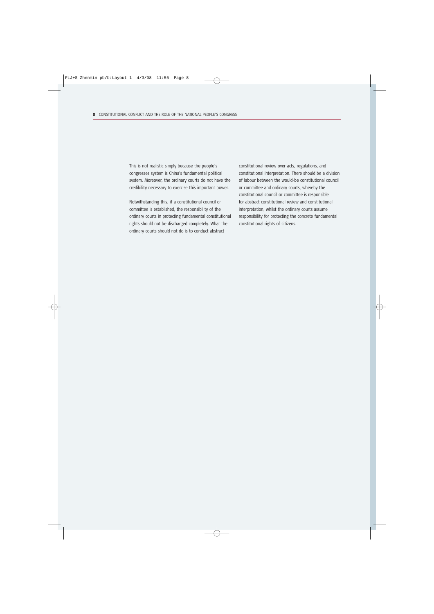This is not realistic simply because the people's congresses system is China's fundamental political system. Moreover, the ordinary courts do not have the credibility necessary to exercise this important power.

Notwithstanding this, if a constitutional council or committee is established, the responsibility of the ordinary courts in protecting fundamental constitutional rights should not be discharged completely. What the ordinary courts should not do is to conduct abstract

constitutional review over acts, regulations, and constitutional interpretation. There should be a division of labour between the would-be constitutional council or committee and ordinary courts, whereby the constitutional council or committee is responsible for abstract constitutional review and constitutional interpretation, whilst the ordinary courts assume responsibility for protecting the concrete fundamental constitutional rights of citizens.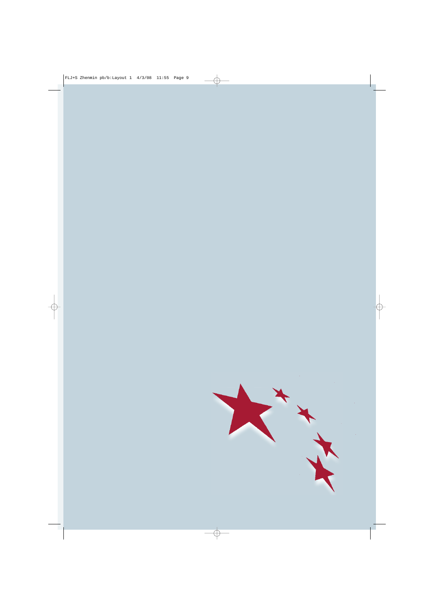